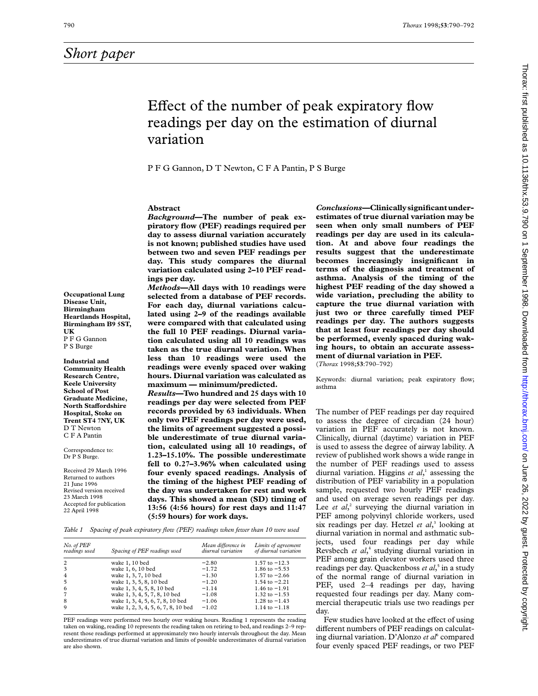# Effect of the number of peak expiratory flow readings per day on the estimation of diurnal variation

P F G Gannon, D T Newton, CFAPantin, P S Burge

## **Abstract**

*Background***—The number of peak expiratory flow (PEF) readings required per day to assess diurnal variation accurately is not known; published studies have used between two and seven PEF readings per day. This study compares the diurnal variation calculated using 2–10 PEF readings per day.**

*Methods***—All days with 10 readings were selected from a database of PEF records. For each day, diurnal variations calculated using 2–9 of the readings available were compared with that calculated using the full 10 PEF readings. Diurnal variation calculated using all 10 readings was taken as the true diurnal variation. When less than 10 readings were used the readings were evenly spaced over waking hours. Diurnal variation was calculated as maximum — minimum/predicted.**

*Results***—Two hundred and 25 days with 10 readings per day were selected from PEF records provided by 63 individuals. When only two PEF readings per day were used, the limits of agreement suggested a possible underestimate of true diurnal variation, calculated using all 10 readings, of 1.23–15.10%. The possible underestimate fell to 0.27–3.96% when calculated using four evenly spaced readings. Analysis of the timing of the highest PEF reading of the day was undertaken for rest and work days. This showed a mean (SD) timing of 13:56 (4:56 hours) for rest days and 11:47 (5:59 hours) for work days.**

*Conclusions***—Clinically significant underestimates of true diurnal variation may be seen when only small numbers of PEF readings per day are used in its calculation. At and above four readings the results suggest that the underestimate becomes increasingly insignificant in terms of the diagnosis and treatment of asthma. Analysis of the timing of the highest PEF reading of the day showed a wide variation, precluding the ability to capture the true diurnal variation with just two or three carefully timed PEF readings per day. The authors suggests that at least four readings per day should be performed, evenly spaced during waking hours, to obtain an accurate assessment of diurnal variation in PEF.**

(*Thorax* 1998;**53**:790–792)

Keywords: diurnal variation; peak expiratory flow; asthma

The number of PEF readings per day required to assess the degree of circadian (24 hour) variation in PEF accurately is not known. Clinically, diurnal (daytime) variation in PEF is used to assess the degree of airway lability. A review of published work shows a wide range in the number of PEF readings used to assess diurnal variation. Higgins *et al*, <sup>1</sup> assessing the distribution of PEF variability in a population sample, requested two hourly PEF readings and used on average seven readings per day. Lee *et al*,<sup>2</sup> surveying the diurnal variation in PEF among polyvinyl chloride workers, used six readings per day. Hetzel *et al*, <sup>3</sup> looking at diurnal variation in normal and asthmatic subjects, used four readings per day while Revsbech *et al*, <sup>4</sup> studying diurnal variation in PEF among grain elevator workers used three readings per day. Quackenboss *et al*, <sup>5</sup> in a study of the normal range of diurnal variation in PEF, used 2–4 readings per day, having requested four readings per day. Many commercial therapeutic trials use two readings per day.

Few studies have looked at the effect of using different numbers of PEF readings on calculating diurnal variation. D'Alonzo *et al*<sup>6</sup> compared four evenly spaced PEF readings, or two PEF

**Occupational Lung Disease Unit, Birmingham Heartlands Hospital, Birmingham B9 5ST, UK** P F G Gannon P S Burge

**Industrial and Community Health Research Centre, Keele University School of Post Graduate Medicine, North Staffordshire Hospital, Stoke on Trent ST4 7NY, UK** D T Newton CFAPantin

Correspondence to: Dr P S Burge.

Received 29 March 1996 Returned to authors 21 June 1996 Revised version received 23 March 1998 Accepted for publication 22 April 1998

*Table 1 Spacing of peak expiratory flow (PEF) readings when fewer than 10 were used*

| No. of PEF<br>readings used | Spacing of PEF readings used        | Mean difference in<br>diurnal variation | Limits of agreement<br>of diurnal variation |
|-----------------------------|-------------------------------------|-----------------------------------------|---------------------------------------------|
| $\overline{2}$              | wake 1, 10 bed                      | $-2.80$                                 | 1.57 to $-12.3$                             |
| 3                           | wake 1, 6, 10 bed                   | $-1.72$                                 | 1.86 to $-5.53$                             |
| $\overline{4}$              | wake 1, 3, 7, 10 bed                | $-1.30$                                 | 1.57 to $-2.66$                             |
| 5                           | wake 1, 3, 5, 8, 10 bed             | $-1.20$                                 | $1.54 \text{ to } -2.21$                    |
| -6                          | wake 1, 3, 4, 5, 8, 10 bed          | $-1.14$                                 | $1.46 \text{ to } -1.91$                    |
| $\overline{7}$              | wake 1, 3, 4, 5, 7, 8, 10 bed       | $-1.08$                                 | 1.32 to $-1.53$                             |
| 8                           | wake 1, 3, 4, 5, 6, 7, 8, 10 bed    | $-1.06$                                 | 1.28 to $-1.43$                             |
| $\mathbf Q$                 | wake 1, 2, 3, 4, 5, 6, 7, 8, 10 bed | $-1.02$                                 | $1.14$ to $-1.18$                           |

PEF readings were performed two hourly over waking hours. Reading 1 represents the reading taken on waking, reading 10 represents the reading taken on retiring to bed, and readings 2–9 represent those readings performed at approximately two hourly intervals throughout the day. Mean underestimates of true diurnal variation and limits of possible underestimates of diurnal variation are also shown.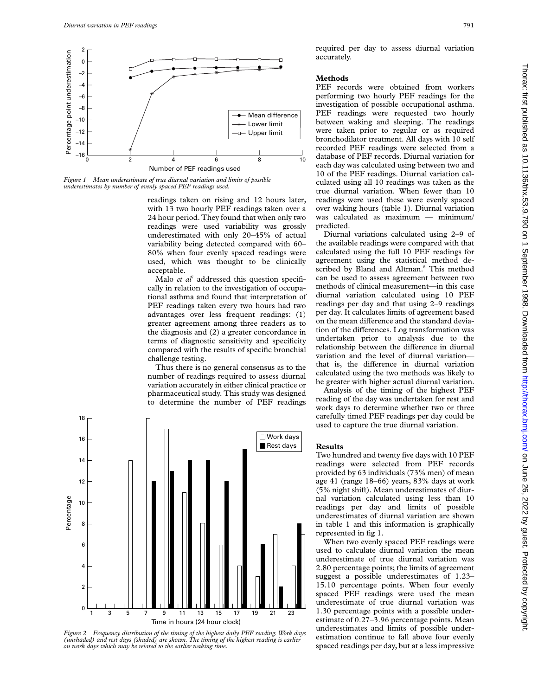

*Figure 1 Mean underestimate of true diurnal variation and limits of possible underestimates by number of evenly spaced PEF readings used.*

readings taken on rising and 12 hours later, with 13 two hourly PEF readings taken over a 24 hour period. They found that when only two readings were used variability was grossly underestimated with only 20–45% of actual variability being detected compared with 60– 80% when four evenly spaced readings were used, which was thought to be clinically acceptable.

Malo et al<sup>7</sup> addressed this question specifically in relation to the investigation of occupational asthma and found that interpretation of PEF readings taken every two hours had two advantages over less frequent readings: (1) greater agreement among three readers as to the diagnosis and (2) a greater concordance in terms of diagnostic sensitivity and specificity compared with the results of specific bronchial challenge testing.

Thus there is no general consensus as to the number of readings required to assess diurnal variation accurately in either clinical practice or pharmaceutical study. This study was designed to determine the number of PEF readings



*Figure 2 Frequency distribution of the timing of the highest daily PEF reading. Work days (unshaded) and rest days (shaded) are shown. The timing of the highest reading is earlier on work days which may be related to the earlier waking time.*

required per day to assess diurnal variation accurately.

### **Methods**

PEF records were obtained from workers performing two hourly PEF readings for the investigation of possible occupational asthma. PEF readings were requested two hourly between waking and sleeping. The readings were taken prior to regular or as required bronchodilator treatment. All days with 10 self recorded PEF readings were selected from a database of PEF records. Diurnal variation for each day was calculated using between two and 10 of the PEF readings. Diurnal variation calculated using all 10 readings was taken as the true diurnal variation. When fewer than 10 readings were used these were evenly spaced over waking hours (table 1). Diurnal variation was calculated as maximum — minimum/ predicted.

Diurnal variations calculated using 2–9 of the available readings were compared with that calculated using the full 10 PEF readings for agreement using the statistical method described by Bland and Altman.<sup>8</sup> This method can be used to assess agreement between two methods of clinical measurement—in this case diurnal variation calculated using 10 PEF readings per day and that using 2–9 readings per day. It calculates limits of agreement based on the mean difference and the standard deviation of the differences. Log transformation was undertaken prior to analysis due to the relationship between the difference in diurnal variation and the level of diurnal variation that is, the difference in diurnal variation calculated using the two methods was likely to be greater with higher actual diurnal variation.

Analysis of the timing of the highest PEF reading of the day was undertaken for rest and work days to determine whether two or three carefully timed PEF readings per day could be used to capture the true diurnal variation.

#### **Results**

Two hundred and twenty five days with 10 PEF readings were selected from PEF records provided by 63 individuals (73% men) of mean age 41 (range 18–66) years, 83% days at work (5% night shift). Mean underestimates of diurnal variation calculated using less than 10 readings per day and limits of possible underestimates of diurnal variation are shown in table 1 and this information is graphically represented in fig 1.

When two evenly spaced PEF readings were used to calculate diurnal variation the mean underestimate of true diurnal variation was 2.80 percentage points; the limits of agreement suggest a possible underestimates of 1.23– 15.10 percentage points. When four evenly spaced PEF readings were used the mean underestimate of true diurnal variation was 1.30 percentage points with a possible underestimate of 0.27–3.96 percentage points. Mean underestimates and limits of possible underestimation continue to fall above four evenly spaced readings per day, but at a less impressive